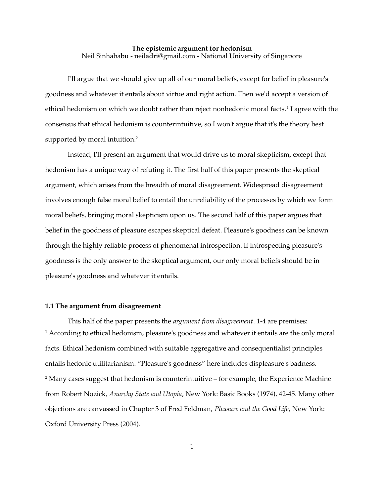# **The epistemic argument for hedonism** Neil Sinhababu - neiladri@gmail.com - National University of Singapore

I'll argue that we should give up all of our moral beliefs, except for belief in pleasure's goodness and whatever it entails about virtue and right action. Then we'd accept a version of ethical hedonism on which we doubt rather than reject nonhedonic moral facts.<sup>[1](#page-0-0)</sup> I agree with the consensus that ethical hedonism is counterintuitive, so I won't argue that it's the theory best supported by moral intuition.<sup>[2](#page-0-1)</sup>

Instead, I'll present an argument that would drive us to moral skepticism, except that hedonism has a unique way of refuting it. The first half of this paper presents the skeptical argument, which arises from the breadth of moral disagreement. Widespread disagreement involves enough false moral belief to entail the unreliability of the processes by which we form moral beliefs, bringing moral skepticism upon us. The second half of this paper argues that belief in the goodness of pleasure escapes skeptical defeat. Pleasure's goodness can be known through the highly reliable process of phenomenal introspection. If introspecting pleasure's goodness is the only answer to the skeptical argument, our only moral beliefs should be in pleasure's goodness and whatever it entails.

# **1.1 The argument from disagreement**

<span id="page-0-1"></span><span id="page-0-0"></span>This half of the paper presents the *argument from disagreement*. 1-4 are premises: 1 According to ethical hedonism, pleasure's goodness and whatever it entails are the only moral facts. Ethical hedonism combined with suitable aggregative and consequentialist principles entails hedonic utilitarianism. "Pleasure's goodness" here includes displeasure's badness.  $^{\rm 2}$  Many cases suggest that hedonism is counterintuitive – for example, the Experience Machine from Robert Nozick, *Anarchy State and Utopia*, New York: Basic Books (1974), 42-45. Many other objections are canvassed in Chapter 3 of Fred Feldman, *Pleasure and the Good Life*, New York: Oxford University Press (2004).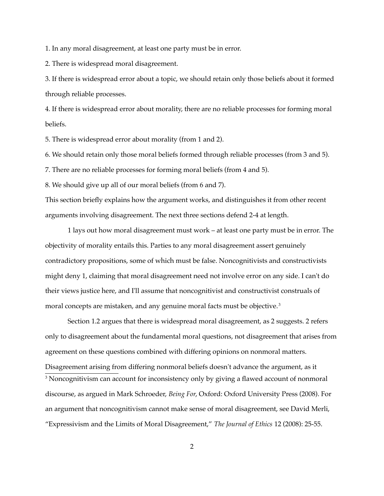1. In any moral disagreement, at least one party must be in error.

2. There is widespread moral disagreement.

3. If there is widespread error about a topic, we should retain only those beliefs about it formed through reliable processes.

4. If there is widespread error about morality, there are no reliable processes for forming moral beliefs.

5. There is widespread error about morality (from 1 and 2).

6. We should retain only those moral beliefs formed through reliable processes (from 3 and 5).

7. There are no reliable processes for forming moral beliefs (from 4 and 5).

8. We should give up all of our moral beliefs (from 6 and 7).

This section briefly explains how the argument works, and distinguishes it from other recent arguments involving disagreement. The next three sections defend 2-4 at length.

1 lays out how moral disagreement must work – at least one party must be in error. The objectivity of morality entails this. Parties to any moral disagreement assert genuinely contradictory propositions, some of which must be false. Noncognitivists and constructivists might deny 1, claiming that moral disagreement need not involve error on any side. I can't do their views justice here, and I'll assume that noncognitivist and constructivist construals of moral concepts are mistaken, and any genuine moral facts must be objective.<sup>[3](#page-1-0)</sup>

<span id="page-1-0"></span>Section 1.2 argues that there is widespread moral disagreement, as 2 suggests. 2 refers only to disagreement about the fundamental moral questions, not disagreement that arises from agreement on these questions combined with differing opinions on nonmoral matters. Disagreement arising from differing nonmoral beliefs doesn't advance the argument, as it  $3$  Noncognitivism can account for inconsistency only by giving a flawed account of nonmoral discourse, as argued in Mark Schroeder, *Being For*, Oxford: Oxford University Press (2008). For an argument that noncognitivism cannot make sense of moral disagreement, see David Merli, "Expressivism and the Limits of Moral Disagreement," *The Journal of Ethics* 12 (2008): 25-55.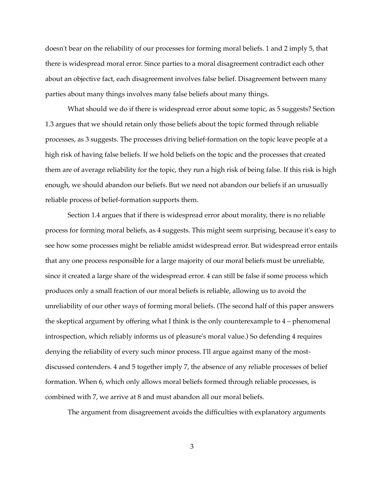doesn't bear on the reliability of our processes for forming moral beliefs. 1 and 2 imply 5, that there is widespread moral error. Since parties to a moral disagreement contradict each other about an objective fact, each disagreement involves false belief. Disagreement between many parties about many things involves many false beliefs about many things.

What should we do if there is widespread error about some topic, as 5 suggests? Section 1.3 argues that we should retain only those beliefs about the topic formed through reliable processes, as 3 suggests. The processes driving belief-formation on the topic leave people at a high risk of having false beliefs. If we hold beliefs on the topic and the processes that created them are of average reliability for the topic, they run a high risk of being false. If this risk is high enough, we should abandon our beliefs. But we need not abandon our beliefs if an unusually reliable process of belief-formation supports them.

Section 1.4 argues that if there is widespread error about morality, there is no reliable process for forming moral beliefs, as 4 suggests. This might seem surprising, because it's easy to see how some processes might be reliable amidst widespread error. But widespread error entails that any one process responsible for a large majority of our moral beliefs must be unreliable, since it created a large share of the widespread error. 4 can still be false if some process which produces only a small fraction of our moral beliefs is reliable, allowing us to avoid the unreliability of our other ways of forming moral beliefs. (The second half of this paper answers the skeptical argument by offering what I think is the only counterexample to 4 – phenomenal introspection, which reliably informs us of pleasure's moral value.) So defending 4 requires denying the reliability of every such minor process. I'll argue against many of the mostdiscussed contenders. 4 and 5 together imply 7, the absence of any reliable processes of belief formation. When 6, which only allows moral beliefs formed through reliable processes, is combined with 7, we arrive at 8 and must abandon all our moral beliefs.

The argument from disagreement avoids the difficulties with explanatory arguments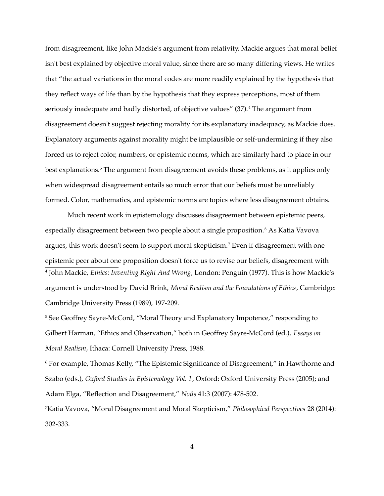from disagreement, like John Mackie's argument from relativity. Mackie argues that moral belief isn't best explained by objective moral value, since there are so many differing views. He writes that "the actual variations in the moral codes are more readily explained by the hypothesis that they reflect ways of life than by the hypothesis that they express perceptions, most of them seriously inadequate and badly distorted, of objective values" (37).<sup>[4](#page-3-0)</sup> The argument from disagreement doesn't suggest rejecting morality for its explanatory inadequacy, as Mackie does. Explanatory arguments against morality might be implausible or self-undermining if they also forced us to reject color, numbers, or epistemic norms, which are similarly hard to place in our best explanations.<sup>[5](#page-3-1)</sup> The argument from disagreement avoids these problems, as it applies only when widespread disagreement entails so much error that our beliefs must be unreliably formed. Color, mathematics, and epistemic norms are topics where less disagreement obtains.

Much recent work in epistemology discusses disagreement between epistemic peers, especially disagreement between two people about a single proposition.<sup>[6](#page-3-2)</sup> As Katia Vavova argues, this work doesn't seem to support moral skepticism.[7](#page-3-3) Even if disagreement with one epistemic peer about one proposition doesn't force us to revise our beliefs, disagreement with 4 John Mackie, *Ethics: Inventing Right And Wrong*, London: Penguin (1977). This is how Mackie's argument is understood by David Brink, *Moral Realism and the Foundations of Ethics*, Cambridge: Cambridge University Press (1989), 197-209.

<span id="page-3-1"></span><span id="page-3-0"></span><sup>5</sup> See Geoffrey Sayre-McCord, "Moral Theory and Explanatory Impotence," responding to Gilbert Harman, "Ethics and Observation," both in Geoffrey Sayre-McCord (ed.), *Essays on Moral Realism*, Ithaca: Cornell University Press, 1988.

<span id="page-3-2"></span>6 For example, Thomas Kelly, "The Epistemic Significance of Disagreement," in Hawthorne and Szabo (eds.), *Oxford Studies in Epistemology Vol. 1*, Oxford: Oxford University Press (2005); and Adam Elga, "Reflection and Disagreement," *Noûs* 41:3 (2007): 478-502.

<span id="page-3-3"></span><sup>7</sup>Katia Vavova, "Moral Disagreement and Moral Skepticism," *Philosophical Perspectives* 28 (2014): 302-333.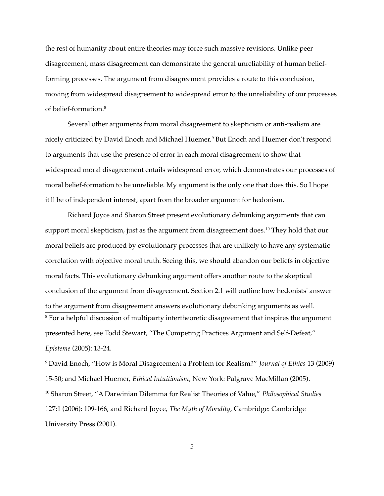the rest of humanity about entire theories may force such massive revisions. Unlike peer disagreement, mass disagreement can demonstrate the general unreliability of human beliefforming processes. The argument from disagreement provides a route to this conclusion, moving from widespread disagreement to widespread error to the unreliability of our processes of belief-formation.[8](#page-4-0)

Several other arguments from moral disagreement to skepticism or anti-realism are nicely criticized by David Enoch and Michael Huemer.<sup>[9](#page-4-1)</sup> But Enoch and Huemer don't respond to arguments that use the presence of error in each moral disagreement to show that widespread moral disagreement entails widespread error, which demonstrates our processes of moral belief-formation to be unreliable. My argument is the only one that does this. So I hope it'll be of independent interest, apart from the broader argument for hedonism.

Richard Joyce and Sharon Street present evolutionary debunking arguments that can support moral skepticism, just as the argument from disagreement does.<sup>[10](#page-4-2)</sup> They hold that our moral beliefs are produced by evolutionary processes that are unlikely to have any systematic correlation with objective moral truth. Seeing this, we should abandon our beliefs in objective moral facts. This evolutionary debunking argument offers another route to the skeptical conclusion of the argument from disagreement. Section 2.1 will outline how hedonists' answer to the argument from disagreement answers evolutionary debunking arguments as well.  $^{\rm 8}$  For a helpful discussion of multiparty intertheoretic disagreement that inspires the argument presented here, see Todd Stewart, "The Competing Practices Argument and Self-Defeat," *Episteme* (2005): 13-24.

<span id="page-4-2"></span><span id="page-4-1"></span><span id="page-4-0"></span>9 David Enoch, "How is Moral Disagreement a Problem for Realism?" *Journal of Ethics* 13 (2009) 15-50; and Michael Huemer, *Ethical Intuitionism*, New York: Palgrave MacMillan (2005). <sup>10</sup> Sharon Street, "A Darwinian Dilemma for Realist Theories of Value," *Philosophical Studies* 127:1 (2006): 109-166, and Richard Joyce, *The Myth of Morality*, Cambridge: Cambridge University Press (2001).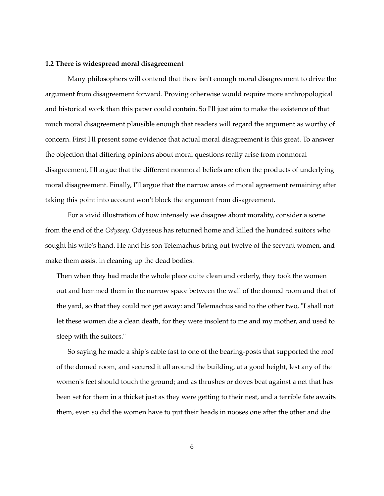### **1.2 There is widespread moral disagreement**

Many philosophers will contend that there isn't enough moral disagreement to drive the argument from disagreement forward. Proving otherwise would require more anthropological and historical work than this paper could contain. So I'll just aim to make the existence of that much moral disagreement plausible enough that readers will regard the argument as worthy of concern. First I'll present some evidence that actual moral disagreement is this great. To answer the objection that differing opinions about moral questions really arise from nonmoral disagreement, I'll argue that the different nonmoral beliefs are often the products of underlying moral disagreement. Finally, I'll argue that the narrow areas of moral agreement remaining after taking this point into account won't block the argument from disagreement.

For a vivid illustration of how intensely we disagree about morality, consider a scene from the end of the *Odyssey*. Odysseus has returned home and killed the hundred suitors who sought his wife's hand. He and his son Telemachus bring out twelve of the servant women, and make them assist in cleaning up the dead bodies.

Then when they had made the whole place quite clean and orderly, they took the women out and hemmed them in the narrow space between the wall of the domed room and that of the yard, so that they could not get away: and Telemachus said to the other two, "I shall not let these women die a clean death, for they were insolent to me and my mother, and used to sleep with the suitors."

So saying he made a ship's cable fast to one of the bearing-posts that supported the roof of the domed room, and secured it all around the building, at a good height, lest any of the women's feet should touch the ground; and as thrushes or doves beat against a net that has been set for them in a thicket just as they were getting to their nest, and a terrible fate awaits them, even so did the women have to put their heads in nooses one after the other and die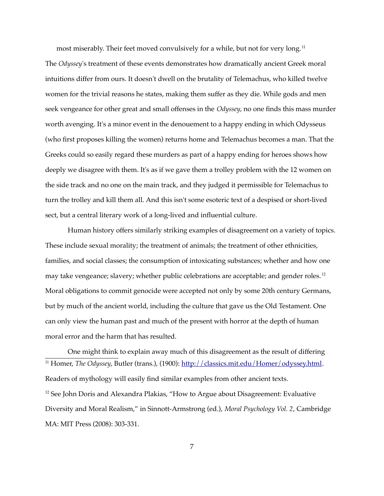most miserably. Their feet moved convulsively for a while, but not for very long.<sup>[11](#page-6-0)</sup> The *Odyssey*'s treatment of these events demonstrates how dramatically ancient Greek moral intuitions differ from ours. It doesn't dwell on the brutality of Telemachus, who killed twelve women for the trivial reasons he states, making them suffer as they die. While gods and men seek vengeance for other great and small offenses in the *Odyssey*, no one finds this mass murder worth avenging. It's a minor event in the denouement to a happy ending in which Odysseus (who first proposes killing the women) returns home and Telemachus becomes a man. That the Greeks could so easily regard these murders as part of a happy ending for heroes shows how deeply we disagree with them. It's as if we gave them a trolley problem with the 12 women on the side track and no one on the main track, and they judged it permissible for Telemachus to turn the trolley and kill them all. And this isn't some esoteric text of a despised or short-lived sect, but a central literary work of a long-lived and influential culture.

Human history offers similarly striking examples of disagreement on a variety of topics. These include sexual morality; the treatment of animals; the treatment of other ethnicities, families, and social classes; the consumption of intoxicating substances; whether and how one may take vengeance; slavery; whether public celebrations are acceptable; and gender roles.<sup>[12](#page-6-1)</sup> Moral obligations to commit genocide were accepted not only by some 20th century Germans, but by much of the ancient world, including the culture that gave us the Old Testament. One can only view the human past and much of the present with horror at the depth of human moral error and the harm that has resulted.

<span id="page-6-1"></span><span id="page-6-0"></span>One might think to explain away much of this disagreement as the result of differing <sup>11</sup> Homer, *The Odyssey*, Butler (trans.), (1900): [http://classics.mit.edu/Homer/odyssey.html.](http://classics.mit.edu/Homer/odyssey.html) Readers of mythology will easily find similar examples from other ancient texts. <sup>12</sup> See John Doris and Alexandra Plakias, "How to Argue about Disagreement: Evaluative Diversity and Moral Realism," in Sinnott-Armstrong (ed.), *Moral Psychology Vol. 2*, Cambridge MA: MIT Press (2008): 303-331.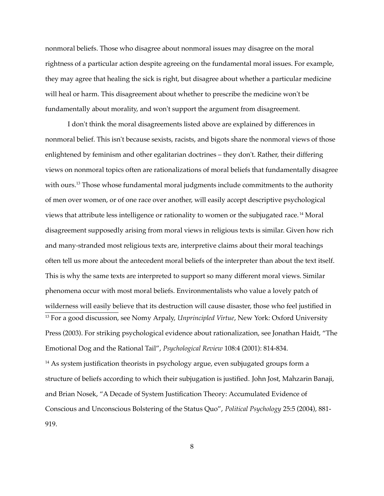nonmoral beliefs. Those who disagree about nonmoral issues may disagree on the moral rightness of a particular action despite agreeing on the fundamental moral issues. For example, they may agree that healing the sick is right, but disagree about whether a particular medicine will heal or harm. This disagreement about whether to prescribe the medicine won't be fundamentally about morality, and won't support the argument from disagreement.

I don't think the moral disagreements listed above are explained by differences in nonmoral belief. This isn't because sexists, racists, and bigots share the nonmoral views of those enlightened by feminism and other egalitarian doctrines – they don't. Rather, their differing views on nonmoral topics often are rationalizations of moral beliefs that fundamentally disagree with ours.<sup>[13](#page-7-0)</sup> Those whose fundamental moral judgments include commitments to the authority of men over women, or of one race over another, will easily accept descriptive psychological views that attribute less intelligence or rationality to women or the subjugated race. [14](#page-7-1) Moral disagreement supposedly arising from moral views in religious texts is similar. Given how rich and many-stranded most religious texts are, interpretive claims about their moral teachings often tell us more about the antecedent moral beliefs of the interpreter than about the text itself. This is why the same texts are interpreted to support so many different moral views. Similar phenomena occur with most moral beliefs. Environmentalists who value a lovely patch of wilderness will easily believe that its destruction will cause disaster, those who feel justified in <sup>13</sup> For a good discussion, see Nomy Arpaly, *Unprincipled Virtue*, New York: Oxford University Press (2003). For striking psychological evidence about rationalization, see Jonathan Haidt, "The Emotional Dog and the Rational Tail", *Psychological Review* 108:4 (2001): 814-834.  $14$  As system justification theorists in psychology argue, even subjugated groups form a structure of beliefs according to which their subjugation is justified. John Jost, Mahzarin Banaji, and Brian Nosek, "A Decade of System Justification Theory: Accumulated Evidence of Conscious and Unconscious Bolstering of the Status Quo", *Political Psychology* 25:5 (2004), 881-

<span id="page-7-1"></span><span id="page-7-0"></span>919.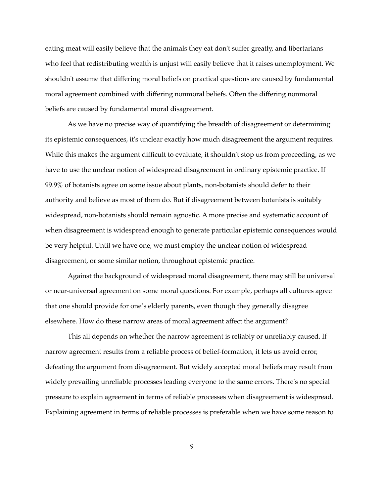eating meat will easily believe that the animals they eat don't suffer greatly, and libertarians who feel that redistributing wealth is unjust will easily believe that it raises unemployment. We shouldn't assume that differing moral beliefs on practical questions are caused by fundamental moral agreement combined with differing nonmoral beliefs. Often the differing nonmoral beliefs are caused by fundamental moral disagreement.

As we have no precise way of quantifying the breadth of disagreement or determining its epistemic consequences, it's unclear exactly how much disagreement the argument requires. While this makes the argument difficult to evaluate, it shouldn't stop us from proceeding, as we have to use the unclear notion of widespread disagreement in ordinary epistemic practice. If 99.9% of botanists agree on some issue about plants, non-botanists should defer to their authority and believe as most of them do. But if disagreement between botanists is suitably widespread, non-botanists should remain agnostic. A more precise and systematic account of when disagreement is widespread enough to generate particular epistemic consequences would be very helpful. Until we have one, we must employ the unclear notion of widespread disagreement, or some similar notion, throughout epistemic practice.

Against the background of widespread moral disagreement, there may still be universal or near-universal agreement on some moral questions. For example, perhaps all cultures agree that one should provide for one's elderly parents, even though they generally disagree elsewhere. How do these narrow areas of moral agreement affect the argument?

This all depends on whether the narrow agreement is reliably or unreliably caused. If narrow agreement results from a reliable process of belief-formation, it lets us avoid error, defeating the argument from disagreement. But widely accepted moral beliefs may result from widely prevailing unreliable processes leading everyone to the same errors. There's no special pressure to explain agreement in terms of reliable processes when disagreement is widespread. Explaining agreement in terms of reliable processes is preferable when we have some reason to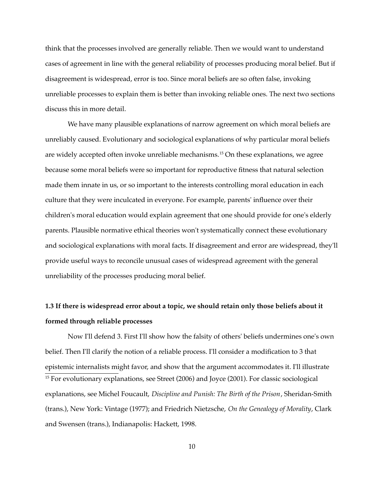think that the processes involved are generally reliable. Then we would want to understand cases of agreement in line with the general reliability of processes producing moral belief. But if disagreement is widespread, error is too. Since moral beliefs are so often false, invoking unreliable processes to explain them is better than invoking reliable ones. The next two sections discuss this in more detail.

We have many plausible explanations of narrow agreement on which moral beliefs are unreliably caused. Evolutionary and sociological explanations of why particular moral beliefs are widely accepted often invoke unreliable mechanisms.<sup>[15](#page-9-0)</sup> On these explanations, we agree because some moral beliefs were so important for reproductive fitness that natural selection made them innate in us, or so important to the interests controlling moral education in each culture that they were inculcated in everyone. For example, parents' influence over their children's moral education would explain agreement that one should provide for one's elderly parents. Plausible normative ethical theories won't systematically connect these evolutionary and sociological explanations with moral facts. If disagreement and error are widespread, they'll provide useful ways to reconcile unusual cases of widespread agreement with the general unreliability of the processes producing moral belief.

# **1.3 If there is widespread error about a topic, we should retain only those beliefs about it formed through reliable processes**

<span id="page-9-0"></span>Now I'll defend 3. First I'll show how the falsity of others' beliefs undermines one's own belief. Then I'll clarify the notion of a reliable process. I'll consider a modification to 3 that epistemic internalists might favor, and show that the argument accommodates it. I'll illustrate <sup>15</sup> For evolutionary explanations, see Street (2006) and Joyce (2001). For classic sociological explanations, see Michel Foucault, *Discipline and Punish: The Birth of the Prison*, Sheridan-Smith (trans.), New York: Vintage (1977); and Friedrich Nietzsche, *On the Genealogy of Morality*, Clark and Swensen (trans.), Indianapolis: Hackett, 1998.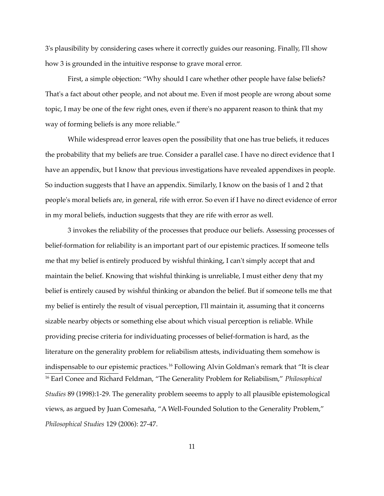3's plausibility by considering cases where it correctly guides our reasoning. Finally, I'll show how 3 is grounded in the intuitive response to grave moral error.

First, a simple objection: "Why should I care whether other people have false beliefs? That's a fact about other people, and not about me. Even if most people are wrong about some topic, I may be one of the few right ones, even if there's no apparent reason to think that my way of forming beliefs is any more reliable."

While widespread error leaves open the possibility that one has true beliefs, it reduces the probability that my beliefs are true. Consider a parallel case. I have no direct evidence that I have an appendix, but I know that previous investigations have revealed appendixes in people. So induction suggests that I have an appendix. Similarly, I know on the basis of 1 and 2 that people's moral beliefs are, in general, rife with error. So even if I have no direct evidence of error in my moral beliefs, induction suggests that they are rife with error as well.

<span id="page-10-0"></span>3 invokes the reliability of the processes that produce our beliefs. Assessing processes of belief-formation for reliability is an important part of our epistemic practices. If someone tells me that my belief is entirely produced by wishful thinking, I can't simply accept that and maintain the belief. Knowing that wishful thinking is unreliable, I must either deny that my belief is entirely caused by wishful thinking or abandon the belief. But if someone tells me that my belief is entirely the result of visual perception, I'll maintain it, assuming that it concerns sizable nearby objects or something else about which visual perception is reliable. While providing precise criteria for individuating processes of belief-formation is hard, as the literature on the generality problem for reliabilism attests, individuating them somehow is indispensable to our epistemic practices.[16](#page-10-0) Following Alvin Goldman's remark that "It is clear <sup>16</sup> Earl Conee and Richard Feldman, "The Generality Problem for Reliabilism," *Philosophical Studies* 89 (1998):1-29. The generality problem seeems to apply to all plausible epistemological views, as argued by Juan Comesaña, "A Well-Founded Solution to the Generality Problem," *Philosophical Studies* 129 (2006): 27-47.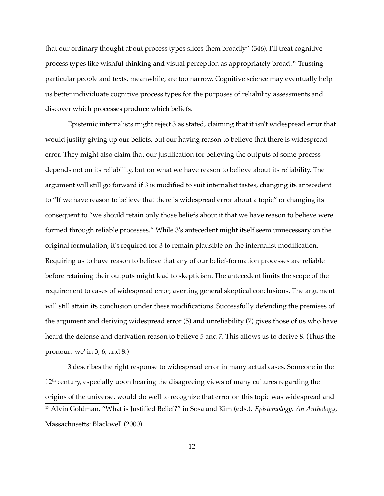that our ordinary thought about process types slices them broadly" (346), I'll treat cognitive process types like wishful thinking and visual perception as appropriately broad.[17](#page-11-0) Trusting particular people and texts, meanwhile, are too narrow. Cognitive science may eventually help us better individuate cognitive process types for the purposes of reliability assessments and discover which processes produce which beliefs.

Epistemic internalists might reject 3 as stated, claiming that it isn't widespread error that would justify giving up our beliefs, but our having reason to believe that there is widespread error. They might also claim that our justification for believing the outputs of some process depends not on its reliability, but on what we have reason to believe about its reliability. The argument will still go forward if 3 is modified to suit internalist tastes, changing its antecedent to "If we have reason to believe that there is widespread error about a topic" or changing its consequent to "we should retain only those beliefs about it that we have reason to believe were formed through reliable processes." While 3's antecedent might itself seem unnecessary on the original formulation, it's required for 3 to remain plausible on the internalist modification. Requiring us to have reason to believe that any of our belief-formation processes are reliable before retaining their outputs might lead to skepticism. The antecedent limits the scope of the requirement to cases of widespread error, averting general skeptical conclusions. The argument will still attain its conclusion under these modifications. Successfully defending the premises of the argument and deriving widespread error (5) and unreliability (7) gives those of us who have heard the defense and derivation reason to believe 5 and 7. This allows us to derive 8. (Thus the pronoun 'we' in 3, 6, and 8.)

<span id="page-11-0"></span>3 describes the right response to widespread error in many actual cases. Someone in the 12<sup>th</sup> century, especially upon hearing the disagreeing views of many cultures regarding the origins of the universe, would do well to recognize that error on this topic was widespread and <sup>17</sup> Alvin Goldman, "What is Justified Belief?" in Sosa and Kim (eds.), *Epistemology: An Anthology*, Massachusetts: Blackwell (2000).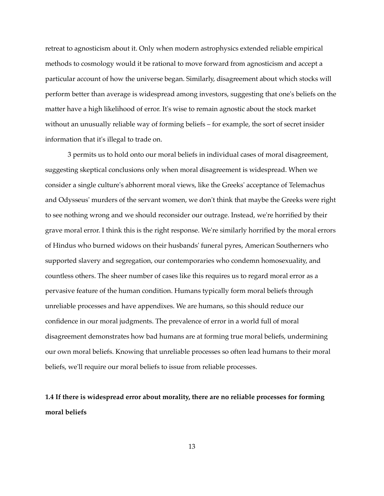retreat to agnosticism about it. Only when modern astrophysics extended reliable empirical methods to cosmology would it be rational to move forward from agnosticism and accept a particular account of how the universe began. Similarly, disagreement about which stocks will perform better than average is widespread among investors, suggesting that one's beliefs on the matter have a high likelihood of error. It's wise to remain agnostic about the stock market without an unusually reliable way of forming beliefs – for example, the sort of secret insider information that it's illegal to trade on.

3 permits us to hold onto our moral beliefs in individual cases of moral disagreement, suggesting skeptical conclusions only when moral disagreement is widespread. When we consider a single culture's abhorrent moral views, like the Greeks' acceptance of Telemachus and Odysseus' murders of the servant women, we don't think that maybe the Greeks were right to see nothing wrong and we should reconsider our outrage. Instead, we're horrified by their grave moral error. I think this is the right response. We're similarly horrified by the moral errors of Hindus who burned widows on their husbands' funeral pyres, American Southerners who supported slavery and segregation, our contemporaries who condemn homosexuality, and countless others. The sheer number of cases like this requires us to regard moral error as a pervasive feature of the human condition. Humans typically form moral beliefs through unreliable processes and have appendixes. We are humans, so this should reduce our confidence in our moral judgments. The prevalence of error in a world full of moral disagreement demonstrates how bad humans are at forming true moral beliefs, undermining our own moral beliefs. Knowing that unreliable processes so often lead humans to their moral beliefs, we'll require our moral beliefs to issue from reliable processes.

# **1.4 If there is widespread error about morality, there are no reliable processes for forming moral beliefs**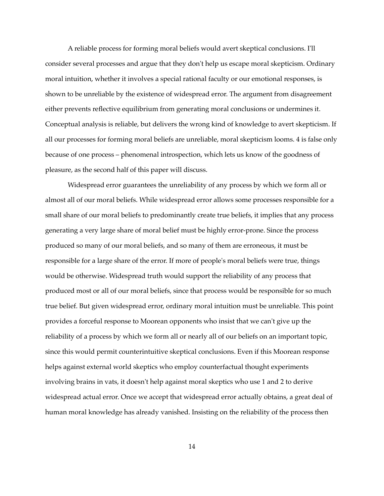A reliable process for forming moral beliefs would avert skeptical conclusions. I'll consider several processes and argue that they don't help us escape moral skepticism. Ordinary moral intuition, whether it involves a special rational faculty or our emotional responses, is shown to be unreliable by the existence of widespread error. The argument from disagreement either prevents reflective equilibrium from generating moral conclusions or undermines it. Conceptual analysis is reliable, but delivers the wrong kind of knowledge to avert skepticism. If all our processes for forming moral beliefs are unreliable, moral skepticism looms. 4 is false only because of one process – phenomenal introspection, which lets us know of the goodness of pleasure, as the second half of this paper will discuss.

Widespread error guarantees the unreliability of any process by which we form all or almost all of our moral beliefs. While widespread error allows some processes responsible for a small share of our moral beliefs to predominantly create true beliefs, it implies that any process generating a very large share of moral belief must be highly error-prone. Since the process produced so many of our moral beliefs, and so many of them are erroneous, it must be responsible for a large share of the error. If more of people's moral beliefs were true, things would be otherwise. Widespread truth would support the reliability of any process that produced most or all of our moral beliefs, since that process would be responsible for so much true belief. But given widespread error, ordinary moral intuition must be unreliable. This point provides a forceful response to Moorean opponents who insist that we can't give up the reliability of a process by which we form all or nearly all of our beliefs on an important topic, since this would permit counterintuitive skeptical conclusions. Even if this Moorean response helps against external world skeptics who employ counterfactual thought experiments involving brains in vats, it doesn't help against moral skeptics who use 1 and 2 to derive widespread actual error. Once we accept that widespread error actually obtains, a great deal of human moral knowledge has already vanished. Insisting on the reliability of the process then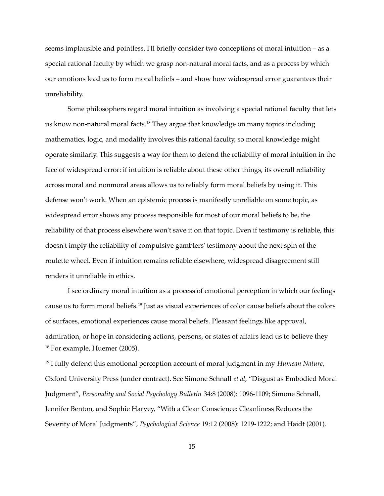seems implausible and pointless. I'll briefly consider two conceptions of moral intuition – as a special rational faculty by which we grasp non-natural moral facts, and as a process by which our emotions lead us to form moral beliefs – and show how widespread error guarantees their unreliability.

Some philosophers regard moral intuition as involving a special rational faculty that lets us know non-natural moral facts.[18](#page-14-0) They argue that knowledge on many topics including mathematics, logic, and modality involves this rational faculty, so moral knowledge might operate similarly. This suggests a way for them to defend the reliability of moral intuition in the face of widespread error: if intuition is reliable about these other things, its overall reliability across moral and nonmoral areas allows us to reliably form moral beliefs by using it. This defense won't work. When an epistemic process is manifestly unreliable on some topic, as widespread error shows any process responsible for most of our moral beliefs to be, the reliability of that process elsewhere won't save it on that topic. Even if testimony is reliable, this doesn't imply the reliability of compulsive gamblers' testimony about the next spin of the roulette wheel. Even if intuition remains reliable elsewhere, widespread disagreement still renders it unreliable in ethics.

I see ordinary moral intuition as a process of emotional perception in which our feelings cause us to form moral beliefs.[19](#page-14-1) Just as visual experiences of color cause beliefs about the colors of surfaces, emotional experiences cause moral beliefs. Pleasant feelings like approval, admiration, or hope in considering actions, persons, or states of affairs lead us to believe they <sup>18</sup> For example, Huemer (2005).

<span id="page-14-1"></span><span id="page-14-0"></span><sup>19</sup> I fully defend this emotional perception account of moral judgment in my *Humean Nature*, Oxford University Press (under contract). See Simone Schnall *et al*, "Disgust as Embodied Moral Judgment", *Personality and Social Psychology Bulletin* 34:8 (2008): 1096-1109; Simone Schnall, Jennifer Benton, and Sophie Harvey, "With a Clean Conscience: Cleanliness Reduces the Severity of Moral Judgments", *Psychological Science* 19:12 (2008): 1219-1222; and Haidt (2001).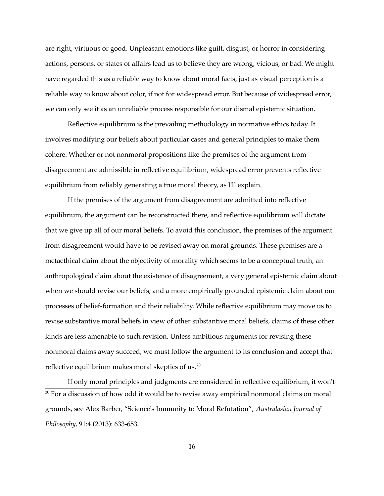are right, virtuous or good. Unpleasant emotions like guilt, disgust, or horror in considering actions, persons, or states of affairs lead us to believe they are wrong, vicious, or bad. We might have regarded this as a reliable way to know about moral facts, just as visual perception is a reliable way to know about color, if not for widespread error. But because of widespread error, we can only see it as an unreliable process responsible for our dismal epistemic situation.

Reflective equilibrium is the prevailing methodology in normative ethics today. It involves modifying our beliefs about particular cases and general principles to make them cohere. Whether or not nonmoral propositions like the premises of the argument from disagreement are admissible in reflective equilibrium, widespread error prevents reflective equilibrium from reliably generating a true moral theory, as I'll explain.

If the premises of the argument from disagreement are admitted into reflective equilibrium, the argument can be reconstructed there, and reflective equilibrium will dictate that we give up all of our moral beliefs. To avoid this conclusion, the premises of the argument from disagreement would have to be revised away on moral grounds. These premises are a metaethical claim about the objectivity of morality which seems to be a conceptual truth, an anthropological claim about the existence of disagreement, a very general epistemic claim about when we should revise our beliefs, and a more empirically grounded epistemic claim about our processes of belief-formation and their reliability. While reflective equilibrium may move us to revise substantive moral beliefs in view of other substantive moral beliefs, claims of these other kinds are less amenable to such revision. Unless ambitious arguments for revising these nonmoral claims away succeed, we must follow the argument to its conclusion and accept that reflective equilibrium makes moral skeptics of us.[20](#page-15-0)

<span id="page-15-0"></span>If only moral principles and judgments are considered in reflective equilibrium, it won't  $20$  For a discussion of how odd it would be to revise away empirical nonmoral claims on moral grounds, see Alex Barber, "Science's Immunity to Moral Refutation", *Australasian Journal of Philosophy*, 91:4 (2013): 633-653.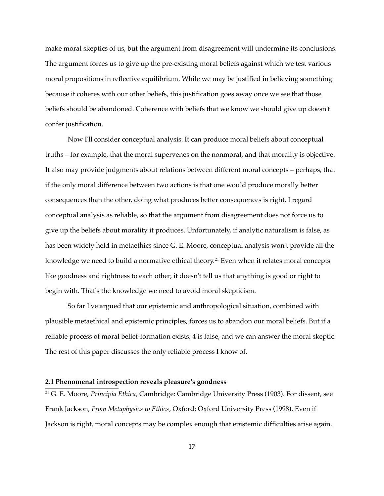make moral skeptics of us, but the argument from disagreement will undermine its conclusions. The argument forces us to give up the pre-existing moral beliefs against which we test various moral propositions in reflective equilibrium. While we may be justified in believing something because it coheres with our other beliefs, this justification goes away once we see that those beliefs should be abandoned. Coherence with beliefs that we know we should give up doesn't confer justification.

Now I'll consider conceptual analysis. It can produce moral beliefs about conceptual truths – for example, that the moral supervenes on the nonmoral, and that morality is objective. It also may provide judgments about relations between different moral concepts – perhaps, that if the only moral difference between two actions is that one would produce morally better consequences than the other, doing what produces better consequences is right. I regard conceptual analysis as reliable, so that the argument from disagreement does not force us to give up the beliefs about morality it produces. Unfortunately, if analytic naturalism is false, as has been widely held in metaethics since G. E. Moore, conceptual analysis won't provide all the knowledge we need to build a normative ethical theory.<sup>[21](#page-16-0)</sup> Even when it relates moral concepts like goodness and rightness to each other, it doesn't tell us that anything is good or right to begin with. That's the knowledge we need to avoid moral skepticism.

So far I've argued that our epistemic and anthropological situation, combined with plausible metaethical and epistemic principles, forces us to abandon our moral beliefs. But if a reliable process of moral belief-formation exists, 4 is false, and we can answer the moral skeptic. The rest of this paper discusses the only reliable process I know of.

# **2.1 Phenomenal introspection reveals pleasure's goodness**

<span id="page-16-0"></span><sup>21</sup> G. E. Moore, *Principia Ethica*, Cambridge: Cambridge University Press (1903). For dissent, see Frank Jackson, *From Metaphysics to Ethics*, Oxford: Oxford University Press (1998). Even if Jackson is right, moral concepts may be complex enough that epistemic difficulties arise again.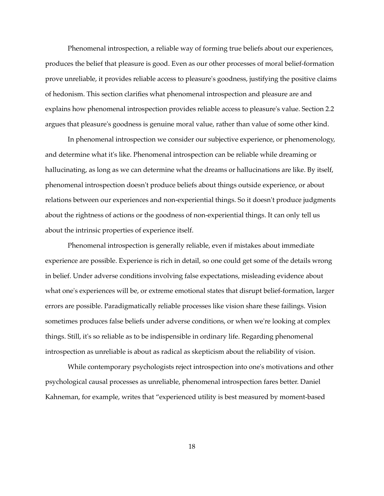Phenomenal introspection, a reliable way of forming true beliefs about our experiences, produces the belief that pleasure is good. Even as our other processes of moral belief-formation prove unreliable, it provides reliable access to pleasure's goodness, justifying the positive claims of hedonism. This section clarifies what phenomenal introspection and pleasure are and explains how phenomenal introspection provides reliable access to pleasure's value. Section 2.2 argues that pleasure's goodness is genuine moral value, rather than value of some other kind.

In phenomenal introspection we consider our subjective experience, or phenomenology, and determine what it's like. Phenomenal introspection can be reliable while dreaming or hallucinating, as long as we can determine what the dreams or hallucinations are like. By itself, phenomenal introspection doesn't produce beliefs about things outside experience, or about relations between our experiences and non-experiential things. So it doesn't produce judgments about the rightness of actions or the goodness of non-experiential things. It can only tell us about the intrinsic properties of experience itself.

Phenomenal introspection is generally reliable, even if mistakes about immediate experience are possible. Experience is rich in detail, so one could get some of the details wrong in belief. Under adverse conditions involving false expectations, misleading evidence about what one's experiences will be, or extreme emotional states that disrupt belief-formation, larger errors are possible. Paradigmatically reliable processes like vision share these failings. Vision sometimes produces false beliefs under adverse conditions, or when we're looking at complex things. Still, it's so reliable as to be indispensible in ordinary life. Regarding phenomenal introspection as unreliable is about as radical as skepticism about the reliability of vision.

While contemporary psychologists reject introspection into one's motivations and other psychological causal processes as unreliable, phenomenal introspection fares better. Daniel Kahneman, for example, writes that "experienced utility is best measured by moment-based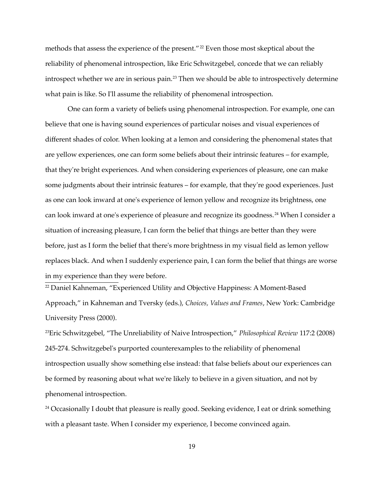methods that assess the experience of the present."<sup>[22](#page-18-0)</sup> Even those most skeptical about the reliability of phenomenal introspection, like Eric Schwitzgebel, concede that we can reliably introspect whether we are in serious pain.<sup>[23](#page-18-1)</sup> Then we should be able to introspectively determine what pain is like. So I'll assume the reliability of phenomenal introspection.

One can form a variety of beliefs using phenomenal introspection. For example, one can believe that one is having sound experiences of particular noises and visual experiences of different shades of color. When looking at a lemon and considering the phenomenal states that are yellow experiences, one can form some beliefs about their intrinsic features – for example, that they're bright experiences. And when considering experiences of pleasure, one can make some judgments about their intrinsic features – for example, that they're good experiences. Just as one can look inward at one's experience of lemon yellow and recognize its brightness, one can look inward at one's experience of pleasure and recognize its goodness.<sup>[24](#page-18-2)</sup> When I consider a situation of increasing pleasure, I can form the belief that things are better than they were before, just as I form the belief that there's more brightness in my visual field as lemon yellow replaces black. And when I suddenly experience pain, I can form the belief that things are worse in my experience than they were before.

<span id="page-18-0"></span><sup>22</sup> Daniel Kahneman, "Experienced Utility and Objective Happiness: A Moment-Based Approach," in Kahneman and Tversky (eds.), *Choices, Values and Frames*, New York: Cambridge University Press (2000).

<span id="page-18-1"></span><sup>23</sup>Eric Schwitzgebel, "The Unreliability of Naive Introspection," *Philosophical Review* 117:2 (2008) 245-274. Schwitzgebel's purported counterexamples to the reliability of phenomenal introspection usually show something else instead: that false beliefs about our experiences can be formed by reasoning about what we're likely to believe in a given situation, and not by phenomenal introspection.

<span id="page-18-2"></span> $24$  Occasionally I doubt that pleasure is really good. Seeking evidence, I eat or drink something with a pleasant taste. When I consider my experience, I become convinced again.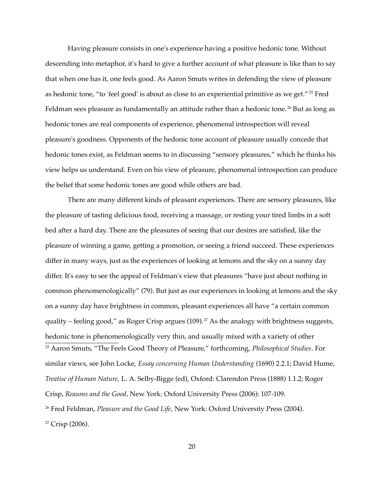Having pleasure consists in one's experience having a positive hedonic tone. Without descending into metaphor, it's hard to give a further account of what pleasure is like than to say that when one has it, one feels good. As Aaron Smuts writes in defending the view of pleasure as hedonic tone, "to 'feel good' is about as close to an experiential primitive as we get." [25](#page-19-0) Fred Feldman sees pleasure as fundamentally an attitude rather than a hedonic tone.<sup>[26](#page-19-1)</sup> But as long as hedonic tones are real components of experience, phenomenal introspection will reveal pleasure's goodness. Opponents of the hedonic tone account of pleasure usually concede that hedonic tones exist, as Feldman seems to in discussing "sensory pleasures," which he thinks his view helps us understand. Even on his view of pleasure, phenomenal introspection can produce the belief that some hedonic tones are good while others are bad.

<span id="page-19-2"></span><span id="page-19-1"></span><span id="page-19-0"></span>There are many different kinds of pleasant experiences. There are sensory pleasures, like the pleasure of tasting delicious food, receiving a massage, or resting your tired limbs in a soft bed after a hard day. There are the pleasures of seeing that our desires are satisfied, like the pleasure of winning a game, getting a promotion, or seeing a friend succeed. These experiences differ in many ways, just as the experiences of looking at lemons and the sky on a sunny day differ. It's easy to see the appeal of Feldman's view that pleasures "have just about nothing in common phenomenologically" (79). But just as our experiences in looking at lemons and the sky on a sunny day have brightness in common, pleasant experiences all have "a certain common quality – feeling good," as Roger Crisp argues (109).<sup>[27](#page-19-2)</sup> As the analogy with brightness suggests, hedonic tone is phenomenologically very thin, and usually mixed with a variety of other <sup>25</sup> Aaron Smuts, "The Feels Good Theory of Pleasure," forthcoming, *Philosophical Studies*. For similar views, see John Locke, *Essay concerning Human Understanding* (1690) 2.2.1; David Hume, *Treatise of Human Nature,* L. A. Selby-Bigge (ed), Oxford: Clarendon Press (1888) 1.1.2; Roger Crisp, *Reasons and the Good*, New York: Oxford University Press (2006): 107-109. <sup>26</sup> Fred Feldman, *Pleasure and the Good Life*, New York: Oxford University Press (2004). <sup>27</sup> Crisp (2006).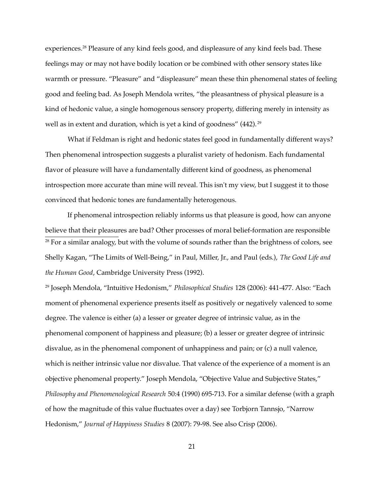experiences.<sup>[28](#page-20-0)</sup> Pleasure of any kind feels good, and displeasure of any kind feels bad. These feelings may or may not have bodily location or be combined with other sensory states like warmth or pressure. "Pleasure" and "displeasure" mean these thin phenomenal states of feeling good and feeling bad. As Joseph Mendola writes, "the pleasantness of physical pleasure is a kind of hedonic value, a single homogenous sensory property, differing merely in intensity as well as in extent and duration, which is yet a kind of goodness" (442).<sup>[29](#page-20-1)</sup>

What if Feldman is right and hedonic states feel good in fundamentally different ways? Then phenomenal introspection suggests a pluralist variety of hedonism. Each fundamental flavor of pleasure will have a fundamentally different kind of goodness, as phenomenal introspection more accurate than mine will reveal. This isn't my view, but I suggest it to those convinced that hedonic tones are fundamentally heterogenous.

<span id="page-20-0"></span>If phenomenal introspection reliably informs us that pleasure is good, how can anyone believe that their pleasures are bad? Other processes of moral belief-formation are responsible  $28$  For a similar analogy, but with the volume of sounds rather than the brightness of colors, see Shelly Kagan, "The Limits of Well-Being," in Paul, Miller, Jr., and Paul (eds.), *The Good Life and the Human Good*, Cambridge University Press (1992).

<span id="page-20-1"></span><sup>29</sup> Joseph Mendola, "Intuitive Hedonism," *Philosophical Studies* 128 (2006): 441-477. Also: "Each moment of phenomenal experience presents itself as positively or negatively valenced to some degree. The valence is either (a) a lesser or greater degree of intrinsic value, as in the phenomenal component of happiness and pleasure; (b) a lesser or greater degree of intrinsic disvalue, as in the phenomenal component of unhappiness and pain; or (c) a null valence, which is neither intrinsic value nor disvalue. That valence of the experience of a moment is an objective phenomenal property." Joseph Mendola, "Objective Value and Subjective States," *Philosophy and Phenomenological Research* 50:4 (1990) 695-713. For a similar defense (with a graph of how the magnitude of this value fluctuates over a day) see Torbjorn Tannsjo, "Narrow Hedonism," *Journal of Happiness Studies* 8 (2007): 79-98. See also Crisp (2006).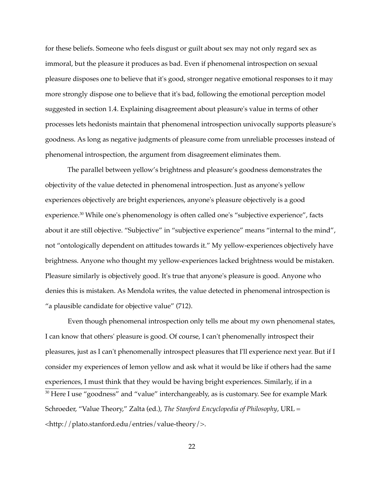for these beliefs. Someone who feels disgust or guilt about sex may not only regard sex as immoral, but the pleasure it produces as bad. Even if phenomenal introspection on sexual pleasure disposes one to believe that it's good, stronger negative emotional responses to it may more strongly dispose one to believe that it's bad, following the emotional perception model suggested in section 1.4. Explaining disagreement about pleasure's value in terms of other processes lets hedonists maintain that phenomenal introspection univocally supports pleasure's goodness. As long as negative judgments of pleasure come from unreliable processes instead of phenomenal introspection, the argument from disagreement eliminates them.

The parallel between yellow's brightness and pleasure's goodness demonstrates the objectivity of the value detected in phenomenal introspection. Just as anyone's yellow experiences objectively are bright experiences, anyone's pleasure objectively is a good experience.<sup>[30](#page-21-0)</sup> While one's phenomenology is often called one's "subjective experience", facts about it are still objective. "Subjective" in "subjective experience" means "internal to the mind", not "ontologically dependent on attitudes towards it." My yellow-experiences objectively have brightness. Anyone who thought my yellow-experiences lacked brightness would be mistaken. Pleasure similarly is objectively good. It's true that anyone's pleasure is good. Anyone who denies this is mistaken. As Mendola writes, the value detected in phenomenal introspection is "a plausible candidate for objective value" (712).

<span id="page-21-0"></span>Even though phenomenal introspection only tells me about my own phenomenal states, I can know that others' pleasure is good. Of course, I can't phenomenally introspect their pleasures, just as I can't phenomenally introspect pleasures that I'll experience next year. But if I consider my experiences of lemon yellow and ask what it would be like if others had the same experiences, I must think that they would be having bright experiences. Similarly, if in a <sup>30</sup> Here I use "goodness" and "value" interchangeably, as is customary. See for example Mark Schroeder, "Value Theory," Zalta (ed.), *The Stanford Encyclopedia of Philosophy*, URL = <http://plato.stanford.edu/entries/value-theory/>.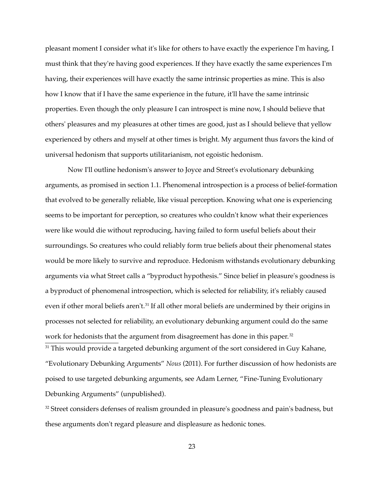pleasant moment I consider what it's like for others to have exactly the experience I'm having, I must think that they're having good experiences. If they have exactly the same experiences I'm having, their experiences will have exactly the same intrinsic properties as mine. This is also how I know that if I have the same experience in the future, it'll have the same intrinsic properties. Even though the only pleasure I can introspect is mine now, I should believe that others' pleasures and my pleasures at other times are good, just as I should believe that yellow experienced by others and myself at other times is bright. My argument thus favors the kind of universal hedonism that supports utilitarianism, not egoistic hedonism.

Now I'll outline hedonism's answer to Joyce and Street's evolutionary debunking arguments, as promised in section 1.1. Phenomenal introspection is a process of belief-formation that evolved to be generally reliable, like visual perception. Knowing what one is experiencing seems to be important for perception, so creatures who couldn't know what their experiences were like would die without reproducing, having failed to form useful beliefs about their surroundings. So creatures who could reliably form true beliefs about their phenomenal states would be more likely to survive and reproduce. Hedonism withstands evolutionary debunking arguments via what Street calls a "byproduct hypothesis." Since belief in pleasure's goodness is a byproduct of phenomenal introspection, which is selected for reliability, it's reliably caused even if other moral beliefs aren't.<sup>[31](#page-22-0)</sup> If all other moral beliefs are undermined by their origins in processes not selected for reliability, an evolutionary debunking argument could do the same work for hedonists that the argument from disagreement has done in this paper. $32$ <sup>31</sup> This would provide a targeted debunking argument of the sort considered in Guy Kahane, "Evolutionary Debunking Arguments" *Nous* (2011). For further discussion of how hedonists are poised to use targeted debunking arguments, see Adam Lerner, "Fine-Tuning Evolutionary Debunking Arguments" (unpublished).

<span id="page-22-1"></span><span id="page-22-0"></span><sup>32</sup> Street considers defenses of realism grounded in pleasure's goodness and pain's badness, but these arguments don't regard pleasure and displeasure as hedonic tones.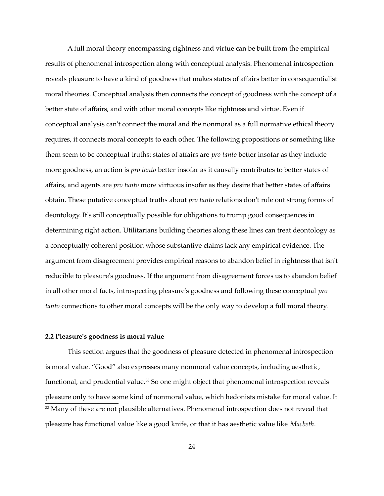A full moral theory encompassing rightness and virtue can be built from the empirical results of phenomenal introspection along with conceptual analysis. Phenomenal introspection reveals pleasure to have a kind of goodness that makes states of affairs better in consequentialist moral theories. Conceptual analysis then connects the concept of goodness with the concept of a better state of affairs, and with other moral concepts like rightness and virtue. Even if conceptual analysis can't connect the moral and the nonmoral as a full normative ethical theory requires, it connects moral concepts to each other. The following propositions or something like them seem to be conceptual truths: states of affairs are *pro tanto* better insofar as they include more goodness, an action is *pro tanto* better insofar as it causally contributes to better states of affairs, and agents are *pro tanto* more virtuous insofar as they desire that better states of affairs obtain. These putative conceptual truths about *pro tanto* relations don't rule out strong forms of deontology. It's still conceptually possible for obligations to trump good consequences in determining right action. Utilitarians building theories along these lines can treat deontology as a conceptually coherent position whose substantive claims lack any empirical evidence. The argument from disagreement provides empirical reasons to abandon belief in rightness that isn't reducible to pleasure's goodness. If the argument from disagreement forces us to abandon belief in all other moral facts, introspecting pleasure's goodness and following these conceptual *pro tanto* connections to other moral concepts will be the only way to develop a full moral theory.

#### **2.2 Pleasure's goodness is moral value**

<span id="page-23-0"></span>This section argues that the goodness of pleasure detected in phenomenal introspection is moral value. "Good" also expresses many nonmoral value concepts, including aesthetic, functional, and prudential value.<sup>[33](#page-23-0)</sup> So one might object that phenomenal introspection reveals pleasure only to have some kind of nonmoral value, which hedonists mistake for moral value. It <sup>33</sup> Many of these are not plausible alternatives. Phenomenal introspection does not reveal that pleasure has functional value like a good knife, or that it has aesthetic value like *Macbeth*.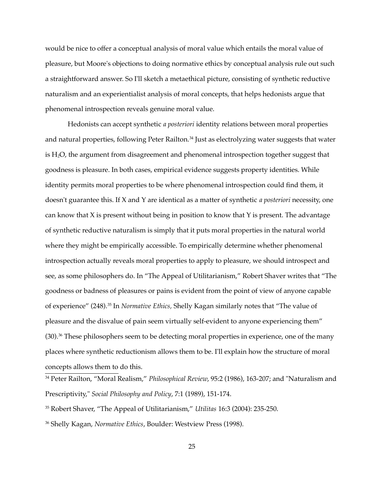would be nice to offer a conceptual analysis of moral value which entails the moral value of pleasure, but Moore's objections to doing normative ethics by conceptual analysis rule out such a straightforward answer. So I'll sketch a metaethical picture, consisting of synthetic reductive naturalism and an experientialist analysis of moral concepts, that helps hedonists argue that phenomenal introspection reveals genuine moral value.

Hedonists can accept synthetic *a posteriori* identity relations between moral properties and natural properties, following Peter Railton.<sup>[34](#page-24-0)</sup> Just as electrolyzing water suggests that water is H<sub>2</sub>O, the argument from disagreement and phenomenal introspection together suggest that goodness is pleasure. In both cases, empirical evidence suggests property identities. While identity permits moral properties to be where phenomenal introspection could find them, it doesn't guarantee this. If X and Y are identical as a matter of synthetic *a posteriori* necessity, one can know that  $X$  is present without being in position to know that  $Y$  is present. The advantage of synthetic reductive naturalism is simply that it puts moral properties in the natural world where they might be empirically accessible. To empirically determine whether phenomenal introspection actually reveals moral properties to apply to pleasure, we should introspect and see, as some philosophers do. In "The Appeal of Utilitarianism," Robert Shaver writes that "The goodness or badness of pleasures or pains is evident from the point of view of anyone capable of experience" (248).[35](#page-24-1) In *Normative Ethics,* Shelly Kagan similarly notes that "The value of pleasure and the disvalue of pain seem virtually self-evident to anyone experiencing them" (30).[36](#page-24-2) These philosophers seem to be detecting moral properties in experience, one of the many places where synthetic reductionism allows them to be. I'll explain how the structure of moral concepts allows them to do this.

<span id="page-24-0"></span><sup>34</sup> Peter Railton, "Moral Realism," *Philosophical Review*, 95:2 (1986), 163-207; and "Naturalism and Prescriptivity," *Social Philosophy and Policy*, 7:1 (1989), 151-174.

<span id="page-24-1"></span><sup>35</sup> Robert Shaver, "The Appeal of Utilitarianism," *Utilitas* 16:3 (2004): 235-250.

<span id="page-24-2"></span><sup>36</sup> Shelly Kagan, *Normative Ethics*, Boulder: Westview Press (1998).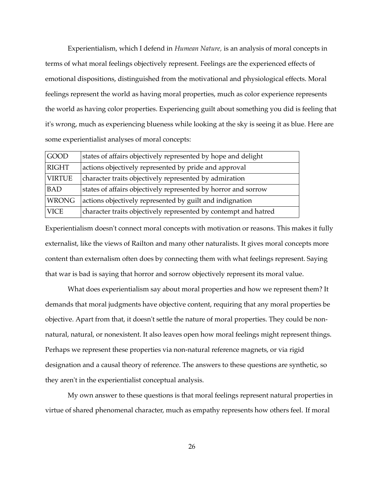Experientialism, which I defend in *Humean Nature,* is an analysis of moral concepts in terms of what moral feelings objectively represent. Feelings are the experienced effects of emotional dispositions, distinguished from the motivational and physiological effects. Moral feelings represent the world as having moral properties, much as color experience represents the world as having color properties. Experiencing guilt about something you did is feeling that it's wrong, much as experiencing blueness while looking at the sky is seeing it as blue. Here are some experientialist analyses of moral concepts:

| <b>GOOD</b>   | states of affairs objectively represented by hope and delight   |
|---------------|-----------------------------------------------------------------|
| RIGHT         | actions objectively represented by pride and approval           |
| <b>VIRTUE</b> | character traits objectively represented by admiration          |
| <b>BAD</b>    | states of affairs objectively represented by horror and sorrow  |
| <b>WRONG</b>  | actions objectively represented by guilt and indignation        |
| <b>VICE</b>   | character traits objectively represented by contempt and hatred |

Experientialism doesn't connect moral concepts with motivation or reasons. This makes it fully externalist, like the views of Railton and many other naturalists. It gives moral concepts more content than externalism often does by connecting them with what feelings represent. Saying that war is bad is saying that horror and sorrow objectively represent its moral value.

What does experientialism say about moral properties and how we represent them? It demands that moral judgments have objective content, requiring that any moral properties be objective. Apart from that, it doesn't settle the nature of moral properties. They could be nonnatural, natural, or nonexistent. It also leaves open how moral feelings might represent things. Perhaps we represent these properties via non-natural reference magnets, or via rigid designation and a causal theory of reference. The answers to these questions are synthetic, so they aren't in the experientialist conceptual analysis.

My own answer to these questions is that moral feelings represent natural properties in virtue of shared phenomenal character, much as empathy represents how others feel. If moral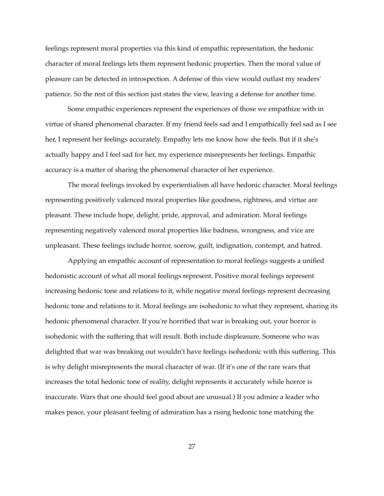feelings represent moral properties via this kind of empathic representation, the hedonic character of moral feelings lets them represent hedonic properties. Then the moral value of pleasure can be detected in introspection. A defense of this view would outlast my readers' patience. So the rest of this section just states the view, leaving a defense for another time.

Some empathic experiences represent the experiences of those we empathize with in virtue of shared phenomenal character. If my friend feels sad and I empathically feel sad as I see her, I represent her feelings accurately. Empathy lets me know how she feels. But if it she's actually happy and I feel sad for her, my experience misrepresents her feelings. Empathic accuracy is a matter of sharing the phenomenal character of her experience.

The moral feelings invoked by experientialism all have hedonic character. Moral feelings representing positively valenced moral properties like goodness, rightness, and virtue are pleasant. These include hope, delight, pride, approval, and admiration. Moral feelings representing negatively valenced moral properties like badness, wrongness, and vice are unpleasant. These feelings include horror, sorrow, guilt, indignation, contempt, and hatred.

Applying an empathic account of representation to moral feelings suggests a unified hedonistic account of what all moral feelings represent. Positive moral feelings represent increasing hedonic tone and relations to it, while negative moral feelings represent decreasing hedonic tone and relations to it. Moral feelings are isohedonic to what they represent, sharing its hedonic phenomenal character. If you're horrified that war is breaking out, your horror is isohedonic with the suffering that will result. Both include displeasure. Someone who was delighted that war was breaking out wouldn't have feelings isohedonic with this suffering. This is why delight misrepresents the moral character of war. (If it's one of the rare wars that increases the total hedonic tone of reality, delight represents it accurately while horror is inaccurate. Wars that one should feel good about are unusual.) If you admire a leader who makes peace, your pleasant feeling of admiration has a rising hedonic tone matching the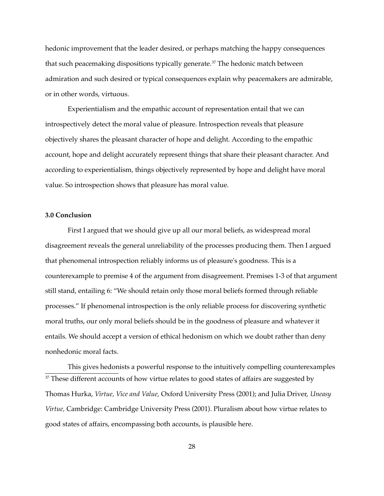hedonic improvement that the leader desired, or perhaps matching the happy consequences that such peacemaking dispositions typically generate.<sup>[37](#page-27-0)</sup> The hedonic match between admiration and such desired or typical consequences explain why peacemakers are admirable, or in other words, virtuous.

Experientialism and the empathic account of representation entail that we can introspectively detect the moral value of pleasure. Introspection reveals that pleasure objectively shares the pleasant character of hope and delight. According to the empathic account, hope and delight accurately represent things that share their pleasant character. And according to experientialism, things objectively represented by hope and delight have moral value. So introspection shows that pleasure has moral value.

### **3.0 Conclusion**

First I argued that we should give up all our moral beliefs, as widespread moral disagreement reveals the general unreliability of the processes producing them. Then I argued that phenomenal introspection reliably informs us of pleasure's goodness. This is a counterexample to premise 4 of the argument from disagreement. Premises 1-3 of that argument still stand, entailing 6: "We should retain only those moral beliefs formed through reliable processes." If phenomenal introspection is the only reliable process for discovering synthetic moral truths, our only moral beliefs should be in the goodness of pleasure and whatever it entails. We should accept a version of ethical hedonism on which we doubt rather than deny nonhedonic moral facts.

<span id="page-27-0"></span>This gives hedonists a powerful response to the intuitively compelling counterexamples <sup>37</sup> These different accounts of how virtue relates to good states of affairs are suggested by Thomas Hurka, *Virtue, Vice and Value,* Oxford University Press (2001); and Julia Driver, *Uneasy Virtue,* Cambridge: Cambridge University Press (2001). Pluralism about how virtue relates to good states of affairs, encompassing both accounts, is plausible here.